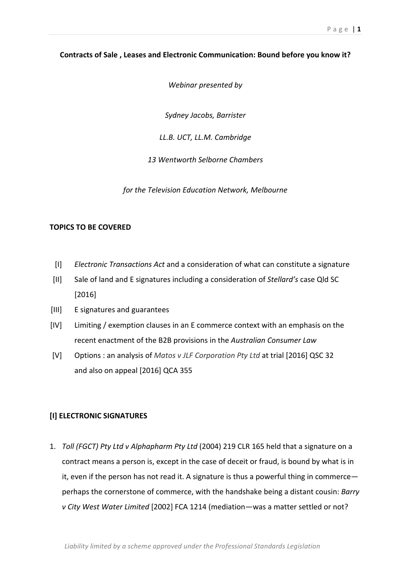## Contracts of Sale, Leases and Electronic Communication: Bound before you know it?

*Webinar presented by* 

*Sydney!Jacobs,!Barrister*

*LL.B. UCT, LL.M. Cambridge* 

*13!Wentworth!Selborne!Chambers*

for the Television Education Network, Melbourne

## **TOPICS TO BE COVERED**

- [I] *Electronic Transactions Act* and a consideration of what can constitute a signature
- [II] Sale of land and E signatures including a consideration of *Stellard's* case Qld SC [2016]
- [III] E signatures and guarantees
- [IV] Limiting / exemption clauses in an E commerce context with an emphasis on the recent enactment of the B2B provisions in the *Australian Consumer Law*
- [V] Options: an analysis of *Matos v JLF Corporation Pty Ltd* at trial [2016] QSC 32 and also on appeal [2016] QCA 355

# [I] ELECTRONIC SIGNATURES

1. *Toll (FGCT) Pty Ltd v Alphapharm Pty Ltd* (2004) 219 CLR 165 held that a signature on a contract means a person is, except in the case of deceit or fraud, is bound by what is in it, even if the person has not read it. A signature is thus a powerful thing in commerce perhaps the cornerstone of commerce, with the handshake being a distant cousin: *Barry v City West Water Limited* [2002] FCA 1214 (mediation—was a matter settled or not?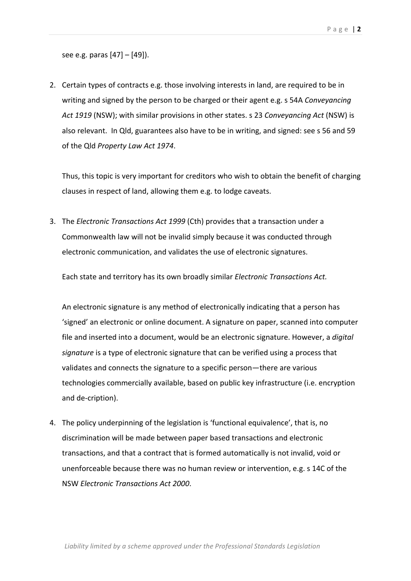see e.g. paras  $[47] - [49]$ ).

2. Certain types of contracts e.g. those involving interests in land, are required to be in writing and signed by the person to be charged or their agent e.g. s 54A *Conveyancing* Act 1919 (NSW); with similar provisions in other states. s 23 *Conveyancing Act* (NSW) is also relevant. In Qld, guarantees also have to be in writing, and signed: see s 56 and 59 of the Qld Property Law Act 1974.

Thus, this topic is very important for creditors who wish to obtain the benefit of charging clauses in respect of land, allowing them e.g. to lodge caveats.

3. The *Electronic Transactions Act 1999* (Cth) provides that a transaction under a Commonwealth law will not be invalid simply because it was conducted through electronic communication, and validates the use of electronic signatures.

Each state and territory has its own broadly similar *Electronic Transactions Act.* 

An electronic signature is any method of electronically indicating that a person has 'signed' an electronic or online document. A signature on paper, scanned into computer file and inserted into a document, would be an electronic signature. However, a *digital signature* is a type of electronic signature that can be verified using a process that validates and connects the signature to a specific person—there are various technologies commercially available, based on public key infrastructure (i.e. encryption and de-cription).

4. The policy underpinning of the legislation is 'functional equivalence', that is, no discrimination will be made between paper based transactions and electronic transactions, and that a contract that is formed automatically is not invalid, void or unenforceable because there was no human review or intervention, e.g.  $\overline{s}$  14C of the NSW%*Electronic!Transactions!Act!2000*.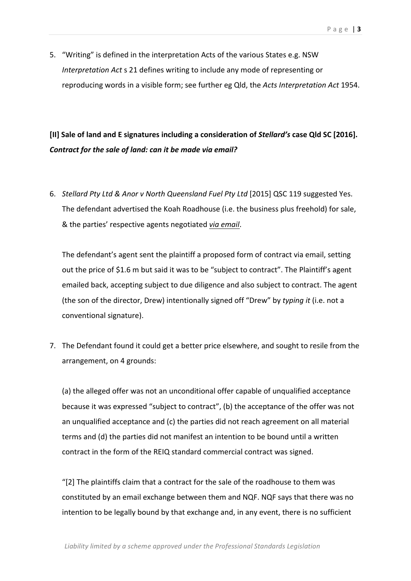5. "Writing" is defined in the interpretation Acts of the various States e.g. NSW *Interpretation Act* s 21 defines writing to include any mode of representing or reproducing words in a visible form; see further eg Qld, the *Acts Interpretation Act* 1954.

# [II] Sale of land and E signatures including a consideration of *Stellard's* case Qld SC [2016]. Contract for the sale of land: can it be made via email?

6. *Stellard Pty Ltd & Anor v North Queensland Fuel Pty Ltd* [2015] QSC 119 suggested Yes. The defendant advertised the Koah Roadhouse (i.e. the business plus freehold) for sale. & the parties' respective agents negotiated *via email*.

The defendant's agent sent the plaintiff a proposed form of contract via email, setting out the price of \$1.6 m but said it was to be "subject to contract". The Plaintiff's agent emailed back, accepting subject to due diligence and also subject to contract. The agent (the son of the director, Drew) intentionally signed off "Drew" by *typing it* (i.e. not a conventional signature).

7. The Defendant found it could get a better price elsewhere, and sought to resile from the arrangement, on 4 grounds:

(a) the alleged offer was not an unconditional offer capable of unqualified acceptance because it was expressed "subject to contract", (b) the acceptance of the offer was not an unqualified acceptance and  $(c)$  the parties did not reach agreement on all material terms and (d) the parties did not manifest an intention to be bound until a written contract in the form of the REIQ standard commercial contract was signed.

" $[2]$  The plaintiffs claim that a contract for the sale of the roadhouse to them was constituted by an email exchange between them and NQF. NQF says that there was no intention to be legally bound by that exchange and, in any event, there is no sufficient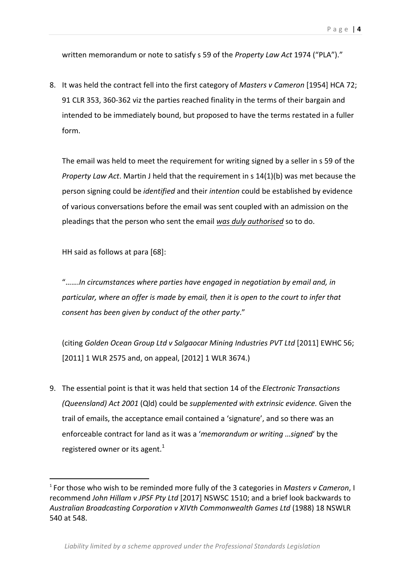written memorandum or note to satisfy s 59 of the *Property Law Act* 1974 ("PLA")."

8. It was held the contract fell into the first category of *Masters v Cameron* [1954] HCA 72; 91 CLR 353, 360-362 viz the parties reached finality in the terms of their bargain and intended to be immediately bound, but proposed to have the terms restated in a fuller form.

The email was held to meet the requirement for writing signed by a seller in s 59 of the *Property Law Act*. Martin J held that the requirement in s 14(1)(b) was met because the person signing could be *identified* and their *intention* could be established by evidence of various conversations before the email was sent coupled with an admission on the pleadings that the person who sent the email was duly authorised so to do.

HH said as follows at para  $[68]$ :

 $\,$  %  $\,$  %  $\,$  %  $\,$  %  $\,$  %  $\,$  %  $\,$  %  $\,$  %  $\,$  %  $\,$  %  $\,$  %  $\,$  %  $\,$  %  $\,$  %  $\,$  %  $\,$  %  $\,$  %  $\,$  %  $\,$  %  $\,$  %  $\,$  %  $\,$  %  $\,$  %  $\,$  %  $\,$  %  $\,$  %  $\,$  %  $\,$  %  $\,$  %  $\,$  %  $\,$  %  $\,$ 

".......In circumstances where parties have engaged in negotiation by email and, in particular, where an offer is made by email, then it is open to the court to infer that *consent has been given by conduct of the other party."* 

(citing *Golden Ocean Group Ltd v Salgaocar Mining Industries PVT Ltd* [2011] EWHC 56; [2011] 1 WLR 2575 and, on appeal, [2012] 1 WLR 3674.)

9. The essential point is that it was held that section 14 of the *Electronic Transactions (Queensland) Act 2001 (Qld) could be supplemented with extrinsic evidence. Given the* trail of emails, the acceptance email contained a 'signature', and so there was an enforceable contract for land as it was a '*memorandum or writing …signed'* by the registered owner or its agent.<sup>1</sup>

<sup>&</sup>lt;sup>1</sup> For those who wish to be reminded more fully of the 3 categories in *Masters v Cameron*, I recommend *John Hillam v JPSF Pty Ltd* [2017] NSWSC 1510; and a brief look backwards to Australian Broadcasting Corporation v XIVth Commonwealth Games Ltd (1988) 18 NSWLR 540 at 548.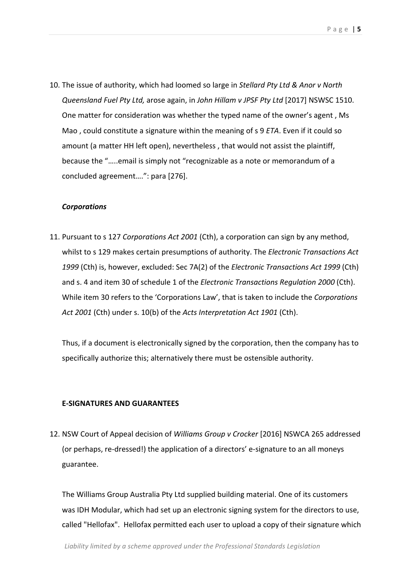10. The issue of authority, which had loomed so large in Stellard Pty Ltd & Anor v North *Queensland Fuel Pty Ltd, arose again, in John Hillam v JPSF Pty Ltd* [2017] NSWSC 1510. One matter for consideration was whether the typed name of the owner's agent, Ms Mao, could constitute a signature within the meaning of s 9 *ETA*. Even if it could so amount (a matter HH left open), nevertheless, that would not assist the plaintiff, because the ".....email is simply not "recognizable as a note or memorandum of a concluded agreement....": para [276].

#### *Corporations*

11. Pursuant to s 127 *Corporations Act 2001* (Cth), a corporation can sign by any method, whilst to s 129 makes certain presumptions of authority. The *Electronic Transactions Act* 1999 (Cth) is, however, excluded: Sec 7A(2) of the *Electronic Transactions Act 1999* (Cth) and s. 4 and item 30 of schedule 1 of the *Electronic Transactions Regulation 2000* (Cth). While item 30 refers to the 'Corporations Law', that is taken to include the *Corporations* Act 2001 (Cth) under s. 10(b) of the *Acts Interpretation Act 1901* (Cth).

Thus, if a document is electronically signed by the corporation, then the company has to specifically authorize this; alternatively there must be ostensible authority.

#### **E-SIGNATURES AND GUARANTEES**

12. NSW Court of Appeal decision of *Williams Group v Crocker* [2016] NSWCA 265 addressed (or perhaps, re-dressed!) the application of a directors' e-signature to an all moneys guarantee.

The Williams Group Australia Pty Ltd supplied building material. One of its customers was IDH Modular, which had set up an electronic signing system for the directors to use, called "Hellofax". Hellofax permitted each user to upload a copy of their signature which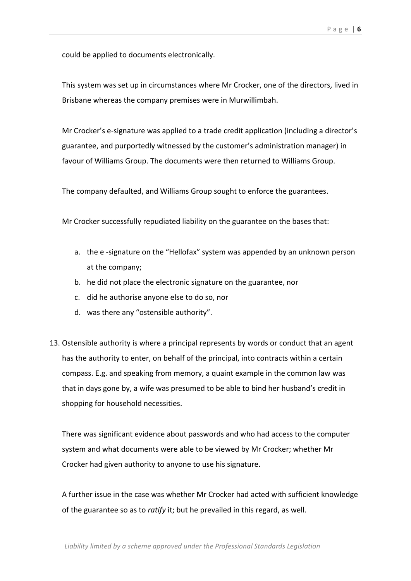could be applied to documents electronically.

This system was set up in circumstances where Mr Crocker, one of the directors, lived in Brisbane whereas the company premises were in Murwillimbah.

Mr Crocker's e-signature was applied to a trade credit application (including a director's guarantee, and purportedly witnessed by the customer's administration manager) in favour of Williams Group. The documents were then returned to Williams Group.

The company defaulted, and Williams Group sought to enforce the guarantees.

Mr Crocker successfully repudiated liability on the guarantee on the bases that:

- a. the e -signature on the "Hellofax" system was appended by an unknown person at the company;
- b. he did not place the electronic signature on the guarantee, nor
- c. did he authorise anyone else to do so, nor
- d. was there any "ostensible authority".
- 13. Ostensible authority is where a principal represents by words or conduct that an agent has the authority to enter, on behalf of the principal, into contracts within a certain compass. E.g. and speaking from memory, a quaint example in the common law was that in days gone by, a wife was presumed to be able to bind her husband's credit in shopping for household necessities.

There was significant evidence about passwords and who had access to the computer system and what documents were able to be viewed by Mr Crocker; whether Mr Crocker had given authority to anyone to use his signature.

A further issue in the case was whether Mr Crocker had acted with sufficient knowledge of the guarantee so as to *ratify* it; but he prevailed in this regard, as well.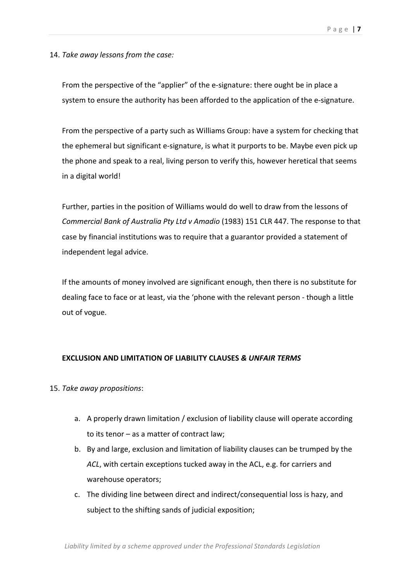14. Take away lessons from the case:

From the perspective of the "applier" of the e-signature: there ought be in place a system to ensure the authority has been afforded to the application of the e-signature.

From the perspective of a party such as Williams Group: have a system for checking that the ephemeral but significant e-signature, is what it purports to be. Maybe even pick up the phone and speak to a real, living person to verify this, however heretical that seems in a digital world!

Further, parties in the position of Williams would do well to draw from the lessons of *Commercial Bank of Australia Pty Ltd v Amadio* (1983) 151 CLR 447. The response to that case by financial institutions was to require that a guarantor provided a statement of independent legal advice.

If the amounts of money involved are significant enough, then there is no substitute for dealing face to face or at least, via the 'phone with the relevant person - though a little out of vogue.

## **EXCLUSION"AND"LIMITATION"OF"LIABILITY"CLAUSES** *&.UNFAIR.TERMS*

## 15. Take away propositions:

- a. A properly drawn limitation / exclusion of liability clause will operate according to its tenor  $-$  as a matter of contract law;
- b. By and large, exclusion and limitation of liability clauses can be trumped by the ACL, with certain exceptions tucked away in the ACL, e.g. for carriers and warehouse operators;
- c. The dividing line between direct and indirect/consequential loss is hazy, and subject to the shifting sands of judicial exposition;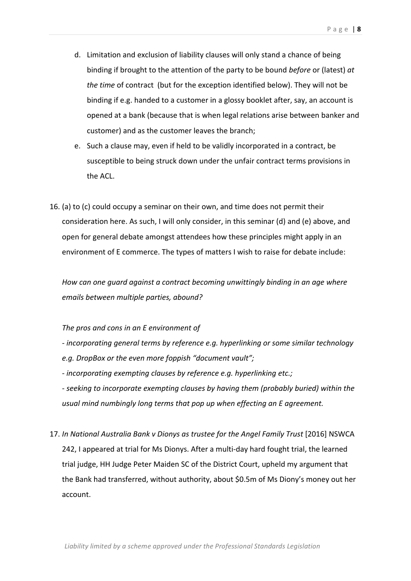- d. Limitation and exclusion of liability clauses will only stand a chance of being binding if brought to the attention of the party to be bound *before* or (latest) at *the time* of contract (but for the exception identified below). They will not be binding if e.g. handed to a customer in a glossy booklet after, say, an account is opened at a bank (because that is when legal relations arise between banker and customer) and as the customer leaves the branch;
- e. Such a clause may, even if held to be validly incorporated in a contract, be susceptible to being struck down under the unfair contract terms provisions in the ACL.
- 16. (a) to (c) could occupy a seminar on their own, and time does not permit their consideration here. As such, I will only consider, in this seminar (d) and (e) above, and open for general debate amongst attendees how these principles might apply in an environment of E commerce. The types of matters I wish to raise for debate include:

How can one guard against a contract becoming unwittingly binding in an age where *emails between multiple parties, abound?* 

The pros and cons in an E environment of

- *-* incorporating general terms by reference e.g. hyperlinking or some similar technology *e.g. DropBox or the even more foppish "document vault";*
- *incorporating exempting clauses by reference e.g. hyperlinking etc.;*
- seeking to incorporate exempting clauses by having them (probably buried) within the usual mind numbingly long terms that pop up when effecting an E agreement.
- 17. In National Australia Bank v Dionys as trustee for the Angel Family Trust [2016] NSWCA 242, I appeared at trial for Ms Dionys. After a multi-day hard fought trial, the learned trial judge, HH Judge Peter Maiden SC of the District Court, upheld my argument that the Bank had transferred, without authority, about \$0.5m of Ms Diony's money out her account.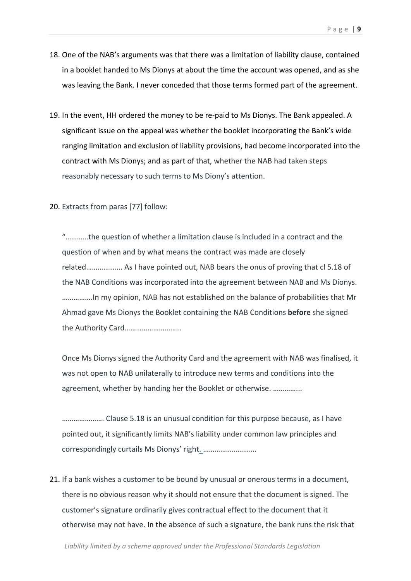- 18. One of the NAB's arguments was that there was a limitation of liability clause, contained in a booklet handed to Ms Dionys at about the time the account was opened, and as she was leaving the Bank. I never conceded that those terms formed part of the agreement.
- 19. In the event, HH ordered the money to be re-paid to Ms Dionys. The Bank appealed. A significant issue on the appeal was whether the booklet incorporating the Bank's wide ranging limitation and exclusion of liability provisions, had become incorporated into the contract with Ms Dionys; and as part of that, whether the NAB had taken steps reasonably necessary to such terms to Ms Diony's attention.
- 20. Extracts from paras [77] follow:

"............the question of whether a limitation clause is included in a contract and the question of when and by what means the contract was made are closely related................... As I have pointed out, NAB bears the onus of proving that cl 5.18 of the NAB Conditions was incorporated into the agreement between NAB and Ms Dionys. …………….In%my%opinion,%NAB%has%not%established%on%the%balance%of%probabilities%that%Mr% Ahmad gave Ms Dionys the Booklet containing the NAB Conditions **before** she signed the%Authority%Card…………………………

Once Ms Dionys signed the Authority Card and the agreement with NAB was finalised, it was not open to NAB unilaterally to introduce new terms and conditions into the agreement, whether by handing her the Booklet or otherwise. …………….

…………………. Clause%5.18%is%an%unusual%condition%for%this%purpose%because,%as%I%have% pointed out, it significantly limits NAB's liability under common law principles and correspondingly curtails Ms Dionys' right. ………………………….

21. If a bank wishes a customer to be bound by unusual or onerous terms in a document, there is no obvious reason why it should not ensure that the document is signed. The customer's signature ordinarily gives contractual effect to the document that it otherwise may not have. In the absence of such a signature, the bank runs the risk that

Liability limited by a scheme approved under the Professional Standards Legislation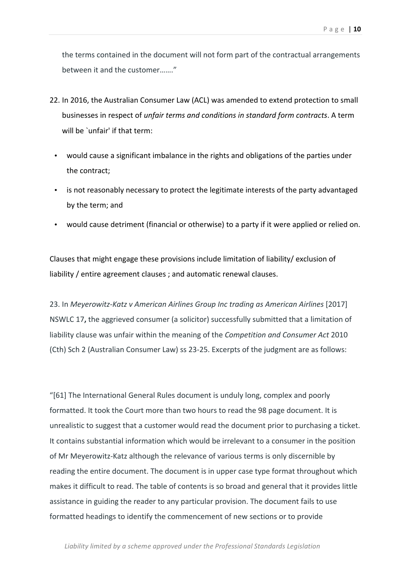the terms contained in the document will not form part of the contractual arrangements between it and the customer......."

- 22. In 2016, the Australian Consumer Law (ACL) was amended to extend protection to small businesses in respect of *unfair terms and conditions in standard form contracts*. A term will be `unfair' if that term:
	- would cause a significant imbalance in the rights and obligations of the parties under the contract:
	- is not reasonably necessary to protect the legitimate interests of the party advantaged by the term; and
	- would cause detriment (financial or otherwise) to a party if it were applied or relied on.

Clauses that might engage these provisions include limitation of liability/ exclusion of liability / entire agreement clauses; and automatic renewal clauses.

23. In *Meyerowitz-Katz v American Airlines Group Inc trading as American Airlines* [2017] NSWLC 17, the aggrieved consumer (a solicitor) successfully submitted that a limitation of liability clause was unfair within the meaning of the *Competition and Consumer Act* 2010 (Cth) Sch 2 (Australian Consumer Law) ss 23-25. Excerpts of the judgment are as follows:

" $[61]$  The International General Rules document is unduly long, complex and poorly formatted. It took the Court more than two hours to read the 98 page document. It is unrealistic to suggest that a customer would read the document prior to purchasing a ticket. It contains substantial information which would be irrelevant to a consumer in the position of Mr Meyerowitz-Katz although the relevance of various terms is only discernible by reading the entire document. The document is in upper case type format throughout which makes it difficult to read. The table of contents is so broad and general that it provides little assistance in guiding the reader to any particular provision. The document fails to use formatted headings to identify the commencement of new sections or to provide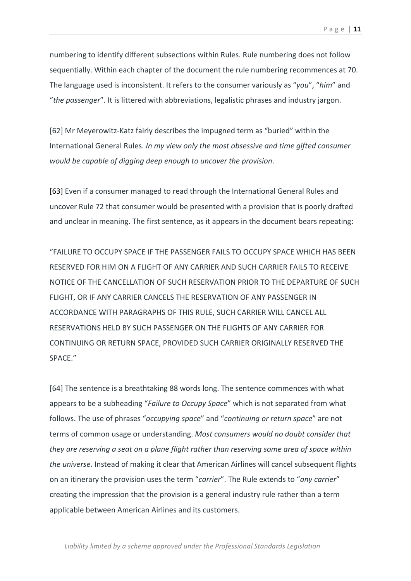numbering to identify different subsections within Rules. Rule numbering does not follow sequentially. Within each chapter of the document the rule numbering recommences at 70. The language used is inconsistent. It refers to the consumer variously as "*you"*, "*him*" and "*the passenger*". It is littered with abbreviations, legalistic phrases and industry jargon.

[62] Mr Meyerowitz-Katz fairly describes the impugned term as "buried" within the International General Rules. *In my view only the most obsessive and time gifted consumer would!be!capable!of!digging!deep!enough!to!uncover!the!provision*.

[63] Even if a consumer managed to read through the International General Rules and uncover Rule 72 that consumer would be presented with a provision that is poorly drafted and unclear in meaning. The first sentence, as it appears in the document bears repeating:

"FAILURE TO OCCUPY SPACE IF THE PASSENGER FAILS TO OCCUPY SPACE WHICH HAS BEEN RESERVED FOR HIM ON A FLIGHT OF ANY CARRIER AND SUCH CARRIER FAILS TO RECEIVE NOTICE OF THE CANCELLATION OF SUCH RESERVATION PRIOR TO THE DEPARTURE OF SUCH FLIGHT, OR IF ANY CARRIER CANCELS THE RESERVATION OF ANY PASSENGER IN ACCORDANCE WITH PARAGRAPHS OF THIS RULE, SUCH CARRIER WILL CANCEL ALL RESERVATIONS HELD BY SUCH PASSENGER ON THE FLIGHTS OF ANY CARRIER FOR CONTINUING OR RETURN SPACE, PROVIDED SUCH CARRIER ORIGINALLY RESERVED THE SPACE."

[64] The sentence is a breathtaking 88 words long. The sentence commences with what appears to be a subheading "*Failure to Occupy Space*" which is not separated from what follows. The use of phrases "*occupying space*" and "*continuing or return space*" are not terms of common usage or understanding. *Most consumers would no doubt consider that they are reserving a seat on a plane flight rather than reserving some area of space within* the universe. Instead of making it clear that American Airlines will cancel subsequent flights on an itinerary the provision uses the term "*carrier*". The Rule extends to "*any carrier*" creating the impression that the provision is a general industry rule rather than a term applicable between American Airlines and its customers.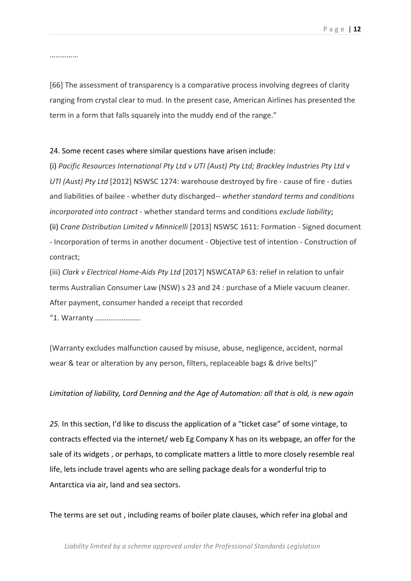……………

[66] The assessment of transparency is a comparative process involving degrees of clarity ranging from crystal clear to mud. In the present case, American Airlines has presented the term in a form that falls squarely into the muddy end of the range."

#### 24. Some recent cases where similar questions have arisen include:

(i) Pacific Resources International Pty Ltd v UTI (Aust) Pty Ltd; Brackley Industries Pty Ltd v *UTI (Aust) Pty Ltd* [2012] NSWSC 1274: warehouse destroyed by fire - cause of fire - duties and liabilities of bailee - whether duty discharged-- whether standard terms and conditions *incorporated into contract* - whether standard terms and conditions *exclude liability*; (ii) *Crane Distribution Limited v Minnicelli* [2013] NSWSC 1611: Formation - Signed document - Incorporation of terms in another document - Objective test of intention - Construction of contract;

(iii) *Clark v Electrical Home-Aids Pty Ltd* [2017] NSWCATAP 63: relief in relation to unfair terms Australian Consumer Law (NSW) s 23 and 24 : purchase of a Miele vacuum cleaner. After payment, consumer handed a receipt that recorded

"1.%Warranty%……………………

(Warranty excludes malfunction caused by misuse, abuse, negligence, accident, normal wear & tear or alteration by any person, filters, replaceable bags & drive belts)"

#### Limitation of liability, Lord Denning and the Age of Automation: all that is old, is new again

25. In this section, I'd like to discuss the application of a "ticket case" of some vintage, to contracts effected via the internet/ web Eg Company X has on its webpage, an offer for the sale of its widgets, or perhaps, to complicate matters a little to more closely resemble real life, lets include travel agents who are selling package deals for a wonderful trip to Antarctica via air, land and sea sectors.

The terms are set out, including reams of boiler plate clauses, which refer ina global and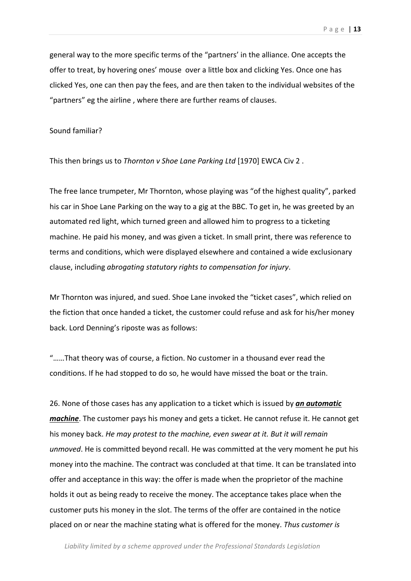general way to the more specific terms of the "partners' in the alliance. One accepts the offer to treat, by hovering ones' mouse over a little box and clicking Yes. Once one has clicked Yes, one can then pay the fees, and are then taken to the individual websites of the "partners" eg the airline, where there are further reams of clauses.

#### Sound familiar?

This then brings us to *Thornton v Shoe Lane Parking Ltd* [1970] EWCA Civ 2.

The free lance trumpeter, Mr Thornton, whose playing was "of the highest quality", parked his car in Shoe Lane Parking on the way to a gig at the BBC. To get in, he was greeted by an automated red light, which turned green and allowed him to progress to a ticketing machine. He paid his money, and was given a ticket. In small print, there was reference to terms and conditions, which were displayed elsewhere and contained a wide exclusionary clause, including *abrogating statutory rights to compensation for injury*.

Mr Thornton was injured, and sued. Shoe Lane invoked the "ticket cases", which relied on the fiction that once handed a ticket, the customer could refuse and ask for his/her money back. Lord Denning's riposte was as follows:

"......That theory was of course, a fiction. No customer in a thousand ever read the conditions. If he had stopped to do so, he would have missed the boat or the train.

26. None of those cases has any application to a ticket which is issued by *an automatic machine*. The customer pays his money and gets a ticket. He cannot refuse it. He cannot get his money back. *He may protest to the machine, even swear at it. But it will remain unmoved*. He is committed beyond recall. He was committed at the very moment he put his money into the machine. The contract was concluded at that time. It can be translated into offer and acceptance in this way: the offer is made when the proprietor of the machine holds it out as being ready to receive the money. The acceptance takes place when the customer puts his money in the slot. The terms of the offer are contained in the notice placed on or near the machine stating what is offered for the money. Thus customer is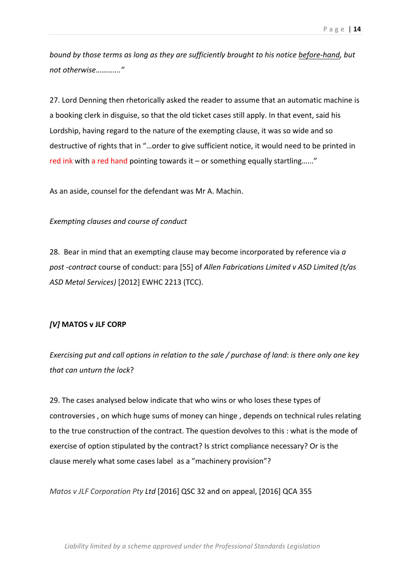*bound by those terms as long as they are sufficiently brought to his notice before-hand, but not!otherwise…………."*

27. Lord Denning then rhetorically asked the reader to assume that an automatic machine is a booking clerk in disguise, so that the old ticket cases still apply. In that event, said his Lordship, having regard to the nature of the exempting clause, it was so wide and so destructive of rights that in "...order to give sufficient notice, it would need to be printed in red ink with a red hand pointing towards it – or something equally startling......"

As an aside, counsel for the defendant was Mr A. Machin.

### **Exempting clauses and course of conduct**

28. Bear in mind that an exempting clause may become incorporated by reference via  $a$ post -contract course of conduct: para [55] of *Allen Fabrications Limited v ASD Limited (t/as ASD Metal Services)* [2012] EWHC 2213 (TCC).

## *[V]* MATOS **v** JLF CORP

*Exercising put and call options in relation to the sale / purchase of land: is there only one key that can unturn the lock?* 

29. The cases analysed below indicate that who wins or who loses these types of controversies, on which huge sums of money can hinge, depends on technical rules relating to the true construction of the contract. The question devolves to this : what is the mode of exercise of option stipulated by the contract? Is strict compliance necessary? Or is the clause merely what some cases label as a "machinery provision"?

*Matos v JLF Corporation Pty Ltd* [2016] QSC 32 and on appeal, [2016] QCA 355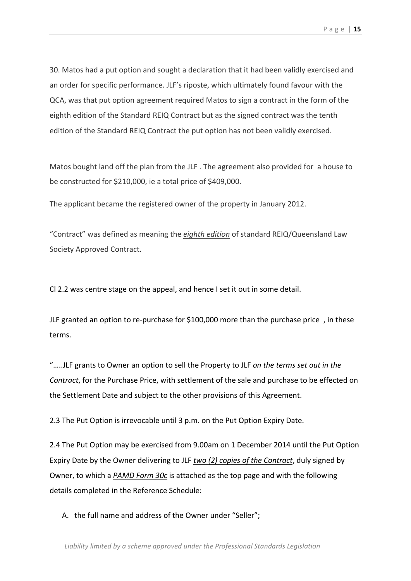30. Matos had a put option and sought a declaration that it had been validly exercised and an order for specific performance. JLF's riposte, which ultimately found favour with the QCA, was that put option agreement required Matos to sign a contract in the form of the eighth edition of the Standard REIQ Contract but as the signed contract was the tenth edition of the Standard REIQ Contract the put option has not been validly exercised.

Matos bought land off the plan from the JLF. The agreement also provided for a house to be constructed for  $$210,000$ , ie a total price of  $$409,000$ .

The applicant became the registered owner of the property in January 2012.

"Contract" was defined as meaning the *eighth edition* of standard REIQ/Queensland Law Society Approved Contract.

Cl 2.2 was centre stage on the appeal, and hence I set it out in some detail.

JLF granted an option to re-purchase for \$100,000 more than the purchase price, in these terms.

".....JLF grants to Owner an option to sell the Property to JLF on the terms set out in the *Contract*, for the Purchase Price, with settlement of the sale and purchase to be effected on the Settlement Date and subject to the other provisions of this Agreement.

2.3 The Put Option is irrevocable until 3 p.m. on the Put Option Expiry Date.

2.4 The Put Option may be exercised from 9.00am on 1 December 2014 until the Put Option Expiry Date by the Owner delivering to JLF two (2) copies of the Contract, duly signed by Owner, to which a *PAMD Form 30c* is attached as the top page and with the following details completed in the Reference Schedule:

A. the full name and address of the Owner under "Seller";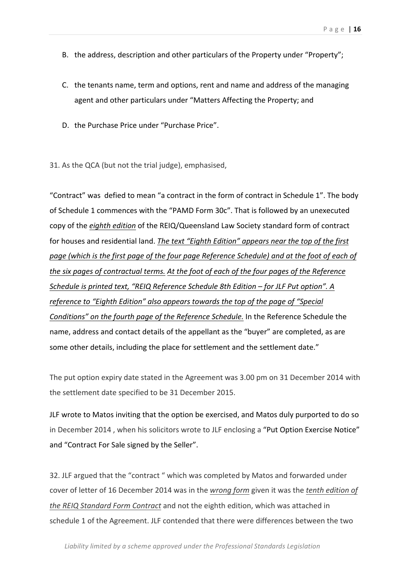- B. the address, description and other particulars of the Property under "Property";
- C. the tenants name, term and options, rent and name and address of the managing agent and other particulars under "Matters Affecting the Property; and
- D. the Purchase Price under "Purchase Price".
- 31. As the QCA (but not the trial judge), emphasised,

"Contract" was defied to mean "a contract in the form of contract in Schedule 1". The body of Schedule 1 commences with the "PAMD Form 30c". That is followed by an unexecuted copy of the *eighth edition* of the REIQ/Queensland Law Society standard form of contract for houses and residential land. The text "Eighth Edition" appears near the top of the first page (which is the first page of the four page Reference Schedule) and at the foot of each of *the six pages of contractual terms. At the foot of each of the four pages of the Reference Schedule is printed text, "REIQ Reference Schedule 8th Edition – for JLF Put option". A reference to "Eighth Edition" also appears towards the top of the page of "Special"* Conditions" on the fourth page of the Reference Schedule. In the Reference Schedule the name, address and contact details of the appellant as the "buyer" are completed, as are some other details, including the place for settlement and the settlement date."

The put option expiry date stated in the Agreement was 3.00 pm on 31 December 2014 with the settlement date specified to be 31 December 2015.

JLF wrote to Matos inviting that the option be exercised, and Matos duly purported to do so in December 2014, when his solicitors wrote to JLF enclosing a "Put Option Exercise Notice" and "Contract For Sale signed by the Seller".

32. JLF argued that the "contract" which was completed by Matos and forwarded under cover of letter of 16 December 2014 was in the *wrong form* given it was the *tenth edition of the REIQ Standard Form Contract* and not the eighth edition, which was attached in schedule 1 of the Agreement. JLF contended that there were differences between the two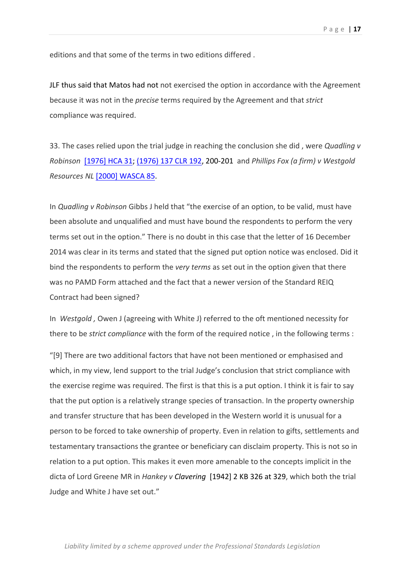editions and that some of the terms in two editions differed.

JLF thus said that Matos had not not exercised the option in accordance with the Agreement because it was not in the *precise* terms required by the Agreement and that *strict* compliance was required.

33. The cases relied upon the trial judge in reaching the conclusion she did, were *Quadling v Robinson* [1976] HCA 31; (1976) 137 CLR 192, 200-201 and *Phillips Fox (a firm) v Westgold Resources NL* [2000] WASCA 85.

In *Quadling v Robinson* Gibbs J held that "the exercise of an option, to be valid, must have been absolute and unqualified and must have bound the respondents to perform the very terms set out in the option." There is no doubt in this case that the letter of 16 December 2014 was clear in its terms and stated that the signed put option notice was enclosed. Did it bind the respondents to perform the *very terms* as set out in the option given that there was no PAMD Form attached and the fact that a newer version of the Standard REIQ Contract had been signed?

In *Westgold, Owen J (agreeing with White J) referred to the oft mentioned necessity for* there to be *strict compliance* with the form of the required notice, in the following terms :

"[9] There are two additional factors that have not been mentioned or emphasised and which, in my view, lend support to the trial Judge's conclusion that strict compliance with the exercise regime was required. The first is that this is a put option. I think it is fair to say that the put option is a relatively strange species of transaction. In the property ownership and transfer structure that has been developed in the Western world it is unusual for a person to be forced to take ownership of property. Even in relation to gifts, settlements and testamentary transactions the grantee or beneficiary can disclaim property. This is not so in relation to a put option. This makes it even more amenable to the concepts implicit in the dicta of Lord Greene MR in *Hankey v Clavering* [1942] 2 KB 326 at 329, which both the trial Judge and White J have set out."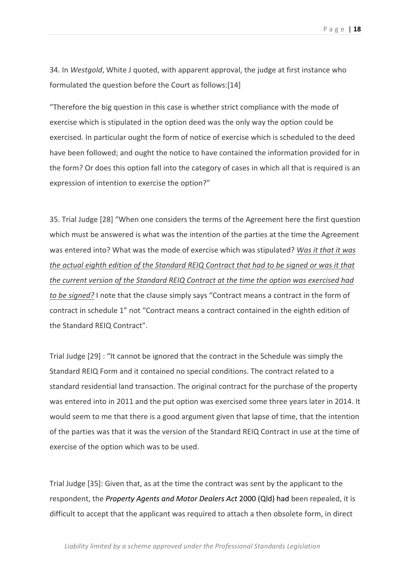34. In *Westgold*, White J quoted, with apparent approval, the judge at first instance who formulated the question before the Court as follows:[14]

"Therefore the big question in this case is whether strict compliance with the mode of exercise which is stipulated in the option deed was the only way the option could be exercised. In particular ought the form of notice of exercise which is scheduled to the deed have been followed; and ought the notice to have contained the information provided for in the form? Or does this option fall into the category of cases in which all that is required is an expression of intention to exercise the option?"

35. Trial Judge [28] "When one considers the terms of the Agreement here the first question which must be answered is what was the intention of the parties at the time the Agreement was entered into? What was the mode of exercise which was stipulated? Was it that it was *the actual eighth edition of the Standard REIQ Contract that had to be signed or was it that the current version of the Standard REIQ Contract at the time the option was exercised had to be signed?* I note that the clause simply says "Contract means a contract in the form of contract in schedule 1" not "Contract means a contract contained in the eighth edition of the Standard REIQ Contract".

Trial Judge  $[29]$ : "It cannot be ignored that the contract in the Schedule was simply the Standard REIQ Form and it contained no special conditions. The contract related to a standard residential land transaction. The original contract for the purchase of the property was entered into in 2011 and the put option was exercised some three years later in 2014. It would seem to me that there is a good argument given that lapse of time, that the intention of the parties was that it was the version of the Standard REIQ Contract in use at the time of exercise of the option which was to be used.

Trial Judge [35]: Given that, as at the time the contract was sent by the applicant to the respondent, the *Property Agents and Motor Dealers Act* 2000 (Qld) had been repealed, it is difficult to accept that the applicant was required to attach a then obsolete form, in direct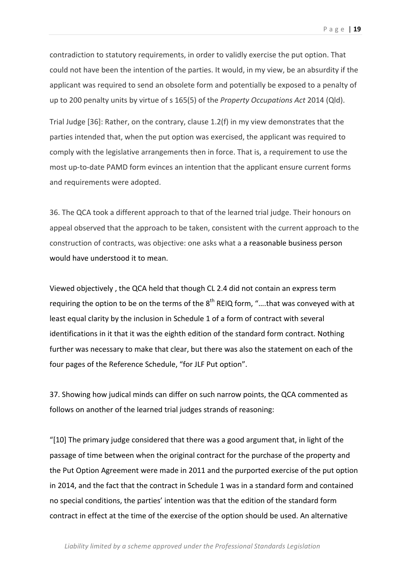contradiction to statutory requirements, in order to validly exercise the put option. That could not have been the intention of the parties. It would, in my view, be an absurdity if the applicant was required to send an obsolete form and potentially be exposed to a penalty of up to 200 penalty units by virtue of s 165(5) of the *Property Occupations Act* 2014 (Qld).

Trial Judge [36]: Rather, on the contrary, clause 1.2(f) in my view demonstrates that the parties intended that, when the put option was exercised, the applicant was required to comply with the legislative arrangements then in force. That is, a requirement to use the most up-to-date PAMD form evinces an intention that the applicant ensure current forms and requirements were adopted.

36. The QCA took a different approach to that of the learned trial judge. Their honours on appeal observed that the approach to be taken, consistent with the current approach to the construction of contracts, was objective: one asks what a a reasonable business person would have understood it to mean.

Viewed objectively, the QCA held that though CL 2.4 did not contain an express term requiring the option to be on the terms of the  $8<sup>th</sup>$  REIQ form, "....that was conveyed with at least equal clarity by the inclusion in Schedule 1 of a form of contract with several identifications in it that it was the eighth edition of the standard form contract. Nothing further was necessary to make that clear, but there was also the statement on each of the four pages of the Reference Schedule, "for JLF Put option".

37. Showing how judical minds can differ on such narrow points, the QCA commented as follows on another of the learned trial judges strands of reasoning:

"[10] The primary judge considered that there was a good argument that, in light of the passage of time between when the original contract for the purchase of the property and the Put Option Agreement were made in 2011 and the purported exercise of the put option in 2014, and the fact that the contract in Schedule 1 was in a standard form and contained no special conditions, the parties' intention was that the edition of the standard form contract in effect at the time of the exercise of the option should be used. An alternative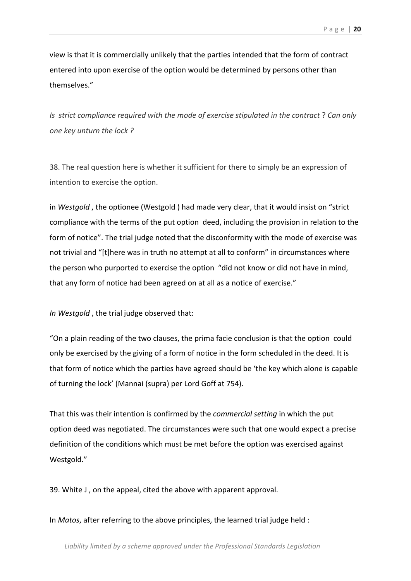view is that it is commercially unlikely that the parties intended that the form of contract entered into upon exercise of the option would be determined by persons other than themselves."

*Is strict compliance required with the mode of exercise stipulated in the contract* ? *Can only one key unturn the lock?* 

38. The real question here is whether it sufficient for there to simply be an expression of intention to exercise the option.

in Westgold, the optionee (Westgold) had made very clear, that it would insist on "strict compliance with the terms of the put option deed, including the provision in relation to the form of notice". The trial judge noted that the disconformity with the mode of exercise was not trivial and "[t]here was in truth no attempt at all to conform" in circumstances where the person who purported to exercise the option "did not know or did not have in mind, that any form of notice had been agreed on at all as a notice of exercise."

*In Westgold*, the trial judge observed that:

"On a plain reading of the two clauses, the prima facie conclusion is that the option could only be exercised by the giving of a form of notice in the form scheduled in the deed. It is that form of notice which the parties have agreed should be 'the key which alone is capable of turning the lock' (Mannai (supra) per Lord Goff at 754).

That this was their intention is confirmed by the *commercial setting* in which the put option deed was negotiated. The circumstances were such that one would expect a precise definition of the conditions which must be met before the option was exercised against Westgold."

39. White J, on the appeal, cited the above with apparent approval.

In *Matos*, after referring to the above principles, the learned trial judge held :

Liability limited by a scheme approved under the Professional Standards Legislation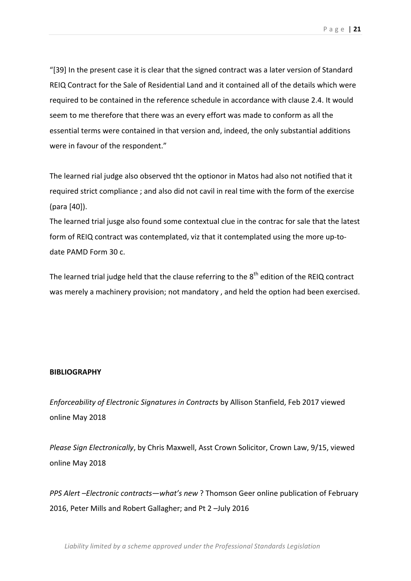"[39] In the present case it is clear that the signed contract was a later version of Standard REIQ Contract for the Sale of Residential Land and it contained all of the details which were required to be contained in the reference schedule in accordance with clause 2.4. It would seem to me therefore that there was an every effort was made to conform as all the essential terms were contained in that version and, indeed, the only substantial additions were in favour of the respondent."

The learned rial judge also observed tht the optionor in Matos had also not notified that it required strict compliance ; and also did not cavil in real time with the form of the exercise  $(para [40])$ .

The learned trial jusge also found some contextual clue in the contrac for sale that the latest form of REIQ contract was contemplated, viz that it contemplated using the more up-todate PAMD Form 30 c.

The learned trial judge held that the clause referring to the  $8<sup>th</sup>$  edition of the REIQ contract was merely a machinery provision; not mandatory, and held the option had been exercised.

#### **BIBLIOGRAPHY**

*Enforceability of Electronic Signatures in Contracts* by Allison Stanfield, Feb 2017 viewed online May 2018

*Please Sign Electronically*, by Chris Maxwell, Asst Crown Solicitor, Crown Law, 9/15, viewed online May 2018

*PPS Alert –Electronic contracts—what's new* ? Thomson Geer online publication of February 2016, Peter Mills and Robert Gallagher; and Pt 2 –July 2016